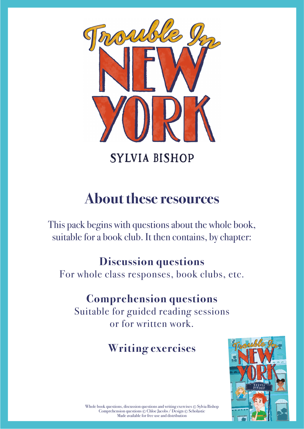

**SYLVIA BISHOP** 

# **About these resources**

This pack begins with questions about the whole book, suitable for a book club. It then contains, by chapter:

### **Discussion questions**

For whole class responses, book clubs, etc.

### **Comprehension questions**

Suitable for guided reading sessions or for written work.

# **Writing exercises**



Whole book questions, discussion questions and writing exercises © Sylvia Bishop Comprehension questions © Chloe Jacobs / Design © Scholastic Made available for free use and distribution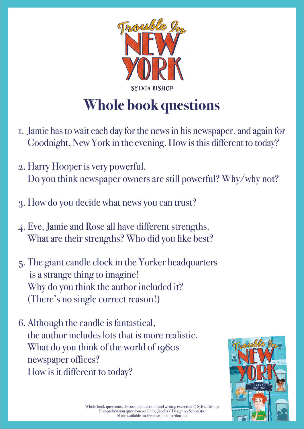

# **Whole book questions**

- 1. Jamie has to wait each day for the news in his newspaper, and again for Goodnight, New York in the evening. How is this different to today?
- 2. Harry Hooper is very powerful. Do you think newspaper owners are still powerful? Why/why not?
- 3. How do you decide what news you can trust?
- 4. Eve, Jamie and Rose all have different strengths. What are their strengths? Who did you like best?
- 5. The giant candle clock in the Yorker headquarters is a strange thing to imagine! Why do you think the author included it? (There's no single correct reason!)
- 6. Although the candle is fantastical, the author includes lots that is more realistic. What do you think of the world of 1960s newspaper offices? How is it different to today?

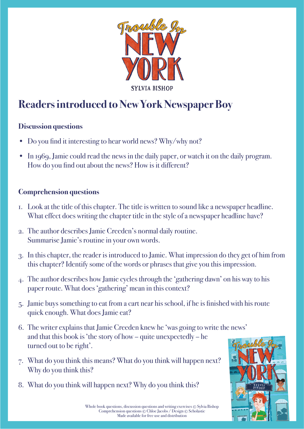

### **Readers introduced to New York Newspaper Boy**

#### **Discussion questions**

- Do you find it interesting to hear world news? Why/why not?
- In 1969, Jamie could read the news in the daily paper, or watch it on the daily program. How do you find out about the news? How is it different?

- 1. Look at the title of this chapter. The title is written to sound like a newspaper headline. What effect does writing the chapter title in the style of a newspaper headline have?
- 2. The author describes Jamie Creeden's normal daily routine. Summarise Jamie's routine in your own words.
- 3. In this chapter, the reader is introduced to Jamie. What impression do they get of him from this chapter? Identify some of the words or phrases that give you this impression.
- 4. The author describes how Jamie cycles through the 'gathering dawn' on his way to his paper route. What does 'gathering' mean in this context?
- 5. Jamie buys something to eat from a cart near his school, if he is finished with his route quick enough. What does Jamie eat?
- 6. The writer explains that Jamie Creeden knew he 'was going to write the news' and that this book is 'the story of how – quite unexpectedly – he turned out to be right'.
- 7. What do you think this means? What do you think will happen next? Why do you think this?
- 8. What do you think will happen next? Why do you think this?

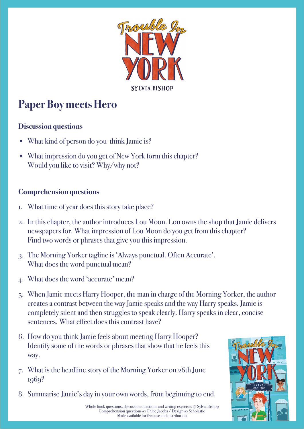

# **Paper Boy meets Hero**

#### **Discussion questions**

- What kind of person do you think Jamie is?
- What impression do you get of New York form this chapter? Would you like to visit? Why/why not?

- 1. What time of year does this story take place?
- 2. In this chapter, the author introduces Lou Moon. Lou owns the shop that Jamie delivers newspapers for. What impression of Lou Moon do you get from this chapter? Find two words or phrases that give you this impression.
- 3. The Morning Yorker tagline is 'Always punctual. Often Accurate'. What does the word punctual mean?
- 4. What does the word 'accurate' mean?
- 5. When Jamie meets Harry Hooper, the man in charge of the Morning Yorker, the author creates a contrast between the way Jamie speaks and the way Harry speaks. Jamie is completely silent and then struggles to speak clearly. Harry speaks in clear, concise sentences. What effect does this contrast have?
- 6. How do you think Jamie feels about meeting Harry Hooper? Identify some of the words or phrases that show that he feels this way.
- 7. What is the headline story of the Morning Yorker on 26th June 1969?
- 8. Summarise Jamie's day in your own words, from beginning to end.

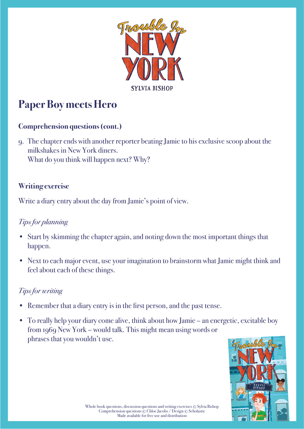

# **Paper Boy meets Hero**

#### **Comprehension questions (cont.)**

9. The chapter ends with another reporter beating Jamie to his exclusive scoop about the milkshakes in New York diners. What do you think will happen next? Why?

#### **Writing exercise**

Write a diary entry about the day from Jamie's point of view.

#### *Tips for planning*

- Start by skimming the chapter again, and noting down the most important things that happen.
- Next to each major event, use your imagination to brainstorm what Jamie might think and feel about each of these things.

- Remember that a diary entry is in the first person, and the past tense.
- To really help your diary come alive, think about how Jamie an energetic, excitable boy from 1969 New York – would talk. This might mean using words or phrases that you wouldn't use.

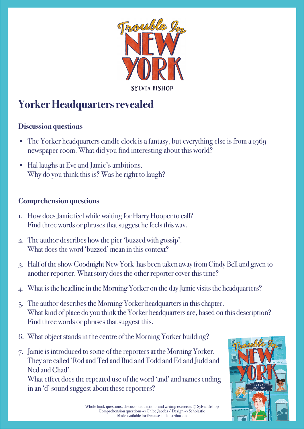

# **Yorker Headquarters revealed**

#### **Discussion questions**

- The Yorker headquarters candle clock is a fantasy, but everything else is from a 1969 newspaper room. What did you find interesting about this world?
- Hal laughs at Eve and Jamie's ambitions. Why do you think this is? Was he right to laugh?

#### **Comprehension questions**

- 1. How does Jamie feel while waiting for Harry Hooper to call? Find three words or phrases that suggest he feels this way.
- 2. The author describes how the pier 'buzzed with gossip'. What does the word 'buzzed' mean in this context?
- 3. Half of the show Goodnight New York has been taken away from Cindy Bell and given to another reporter. What story does the other reporter cover this time?
- 4. What is the headline in the Morning Yorker on the day Jamie visits the headquarters?
- 5. The author describes the Morning Yorker headquarters in this chapter. What kind of place do you think the Yorker headquarters are, based on this description? Find three words or phrases that suggest this.
- 6. What object stands in the centre of the Morning Yorker building?
- 7. Jamie is introduced to some of the reporters at the Morning Yorker. They are called 'Rod and Ted and Bud and Todd and Ed and Judd and Ned and Chad'.

What effect does the repeated use of the word 'and' and names ending in an 'd' sound suggest about these reporters?

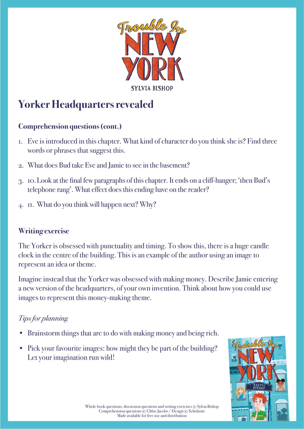

## **Yorker Headquarters revealed**

#### **Comprehension questions (cont.)**

- 1. Eve is introduced in this chapter. What kind of character do you think she is? Find three words or phrases that suggest this.
- 2. What does Bud take Eve and Jamie to see in the basement?
- 3. 10. Look at the final few paragraphs of this chapter. It ends on a cliff-hanger; 'then Bud's telephone rang'. What effect does this ending have on the reader?
- 4. 11. What do you think will happen next? Why?

#### **Writing exercise**

The Yorker is obsessed with punctuality and timing. To show this, there is a huge candle clock in the centre of the building. This is an example of the author using an image to represent an idea or theme.

Imagine instead that the Yorker was obsessed with making money. Describe Jamie entering a new version of the headquarters, of your own invention. Think about how you could use images to represent this money-making theme.

### *Tips for planning*

- Brainstorm things that are to do with making money and being rich.
- Pick your favourite images: how might they be part of the building? Let your imagination run wild!

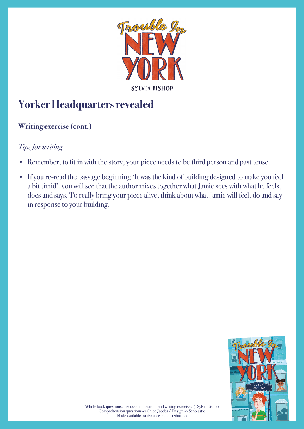

# **Yorker Headquarters revealed**

### **Writing exercise (cont.)**

- Remember, to fit in with the story, your piece needs to be third person and past tense.
- If you re-read the passage beginning 'It was the kind of building designed to make you feel a bit timid', you will see that the author mixes together what Jamie sees with what he feels, does and says. To really bring your piece alive, think about what Jamie will feel, do and say in response to your building.

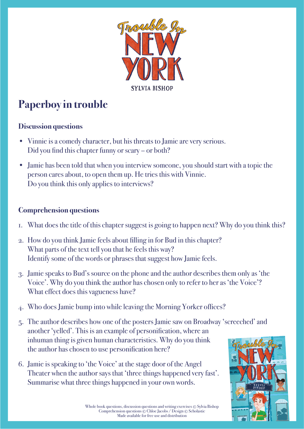

# **Paperboy in trouble**

#### **Discussion questions**

- Vinnie is a comedy character, but his threats to Jamie are very serious. Did you find this chapter funny or scary – or both?
- Jamie has been told that when you interview someone, you should start with a topic the person cares about, to open them up. He tries this with Vinnie. Do you think this only applies to interviews?

- 1. What does the title of this chapter suggest is going to happen next? Why do you think this?
- 2. How do you think Jamie feels about filling in for Bud in this chapter? What parts of the text tell you that he feels this way? Identify some of the words or phrases that suggest how Jamie feels.
- 3. Jamie speaks to Bud's source on the phone and the author describes them only as 'the Voice'. Why do you think the author has chosen only to refer to her as 'the Voice'? What effect does this vagueness have?
- 4. Who does Jamie bump into while leaving the Morning Yorker offices?
- 5. The author describes how one of the posters Jamie saw on Broadway 'screeched' and another 'yelled'. This is an example of personification, where an inhuman thing is given human characteristics. Why do you think the author has chosen to use personification here?
- 6. Jamie is speaking to 'the Voice' at the stage door of the Angel Theater when the author says that 'three things happened very fast'. Summarise what three things happened in your own words.

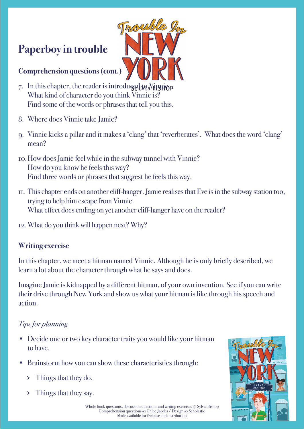### **Paperboy in trouble**

#### **Comprehension questions (cont.)**

- 7. In this chapter, the reader is introduced to Vinnie to What kind of character do you think Vinnie is? Find some of the words or phrases that tell you this.
- 8. Where does Vinnie take Jamie?
- 9. Vinnie kicks a pillar and it makes a 'clang' that 'reverberates'. What does the word 'clang' mean?

Troub

- 10. How does Jamie feel while in the subway tunnel with Vinnie? How do you know he feels this way? Find three words or phrases that suggest he feels this way.
- 11. This chapter ends on another cliff-hanger. Jamie realises that Eve is in the subway station too, trying to help him escape from Vinnie. What effect does ending on yet another cliff-hanger have on the reader?
- 12. What do you think will happen next? Why?

#### **Writing exercise**

In this chapter, we meet a hitman named Vinnie. Although he is only briefly described, we learn a lot about the character through what he says and does.

Imagine Jamie is kidnapped by a different hitman, of your own invention. See if you can write their drive through New York and show us what your hitman is like through his speech and action.

#### *Tips for planning*

- Decide one or two key character traits you would like your hitman to have.
- Brainstorm how you can show these characteristics through:
	- > Things that they do.
	- > Things that they say.



Whole book questions, discussion questions and writing exercises © Sylvia Bishop Comprehension questions © Chloe Jacobs / Design © Scholastic Made available for free use and distribution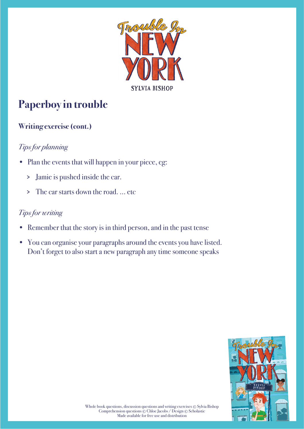

# **Paperboy in trouble**

### **Writing exercise (cont.)**

### *Tips for planning*

- Plan the events that will happen in your piece, eg:
	- > Jamie is pushed inside the car.
	- > The car starts down the road. ... etc

- Remember that the story is in third person, and in the past tense
- You can organise your paragraphs around the events you have listed. Don't forget to also start a new paragraph any time someone speaks

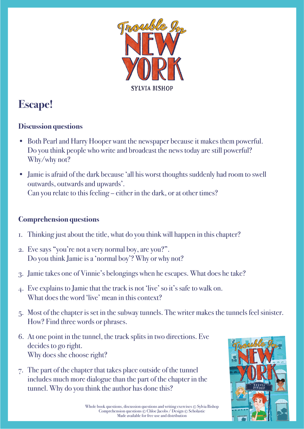

# **Escape!**

#### **Discussion questions**

- Both Pearl and Harry Hooper want the newspaper because it makes them powerful. Do you think people who write and broadcast the news today are still powerful? Why/why not?
- Jamie is afraid of the dark because 'all his worst thoughts suddenly had room to swell outwards, outwards and upwards'. Can you relate to this feeling – either in the dark, or at other times?

- 1. Thinking just about the title, what do you think will happen in this chapter?
- 2. Eve says "you're not a very normal boy, are you?". Do you think Jamie is a 'normal boy'? Why or why not?
- 3. Jamie takes one of Vinnie's belongings when he escapes. What does he take?
- 4. Eve explains to Jamie that the track is not 'live' so it's safe to walk on. What does the word 'live' mean in this context?
- 5. Most of the chapter is set in the subway tunnels. The writer makes the tunnels feel sinister. How? Find three words or phrases.
- 6. At one point in the tunnel, the track splits in two directions. Eve decides to go right. Why does she choose right?
- 7. The part of the chapter that takes place outside of the tunnel includes much more dialogue than the part of the chapter in the tunnel. Why do you think the author has done this?

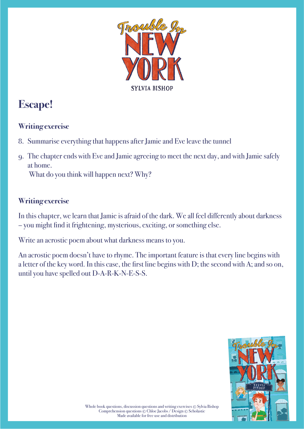

### **Escape!**

### **Writing exercise**

- 8. Summarise everything that happens after Jamie and Eve leave the tunnel
- 9. The chapter ends with Eve and Jamie agreeing to meet the next day, and with Jamie safely at home.

What do you think will happen next? Why?

#### **Writing exercise**

In this chapter, we learn that Jamie is afraid of the dark. We all feel differently about darkness – you might find it frightening, mysterious, exciting, or something else.

Write an acrostic poem about what darkness means to you.

An acrostic poem doesn't have to rhyme. The important feature is that every line begins with a letter of the key word. In this case, the first line begins with  $D$ ; the second with A; and so on, until you have spelled out D-A-R-K-N-E-S-S.

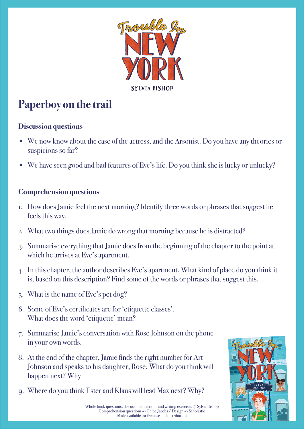

## **Paperboy on the trail**

#### **Discussion questions**

- We now know about the case of the actress, and the Arsonist. Do you have any theories or suspicions so far?
- We have seen good and bad features of Eve's life. Do you think she is lucky or unlucky?

- 1. How does Jamie feel the next morning? Identify three words or phrases that suggest he feels this way.
- 2. What two things does Jamie do wrong that morning because he is distracted?
- 3. Summarise everything that Jamie does from the beginning of the chapter to the point at which he arrives at Eve's apartment.
- 4. In this chapter, the author describes Eve's apartment. What kind of place do you think it is, based on this description? Find some of the words or phrases that suggest this.
- 5. What is the name of Eve's pet dog?
- 6. Some of Eve's certificates are for 'etiquette classes'. What does the word 'etiquette' mean?
- 7. Summarise Jamie's conversation with Rose Johnson on the phone in your own words.
- 8. At the end of the chapter, Jamie finds the right number for Art Johnson and speaks to his daughter, Rose. What do you think will happen next? Why
- 9. Where do you think Ester and Klaus will lead Max next? Why?

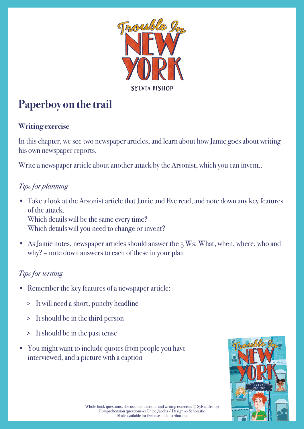

# **Paperboy on the trail**

#### **Writing exercise**

In this chapter, we see two newspaper articles, and learn about how Jamie goes about writing his own newspaper reports.

Write a newspaper article about another attack by the Arsonist, which you can invent..

### *Tips for planning*

- Take a look at the Arsonist article that Jamie and Eve read, and note down any key features of the attack. Which details will be the same every time? Which details will you need to change or invent?
- As Jamie notes, newspaper articles should answer the  $5 \text{ Ws}$ : What, when, where, who and why? – note down answers to each of these in your plan

- Remember the key features of a newspaper article:
	- > It will need a short, punchy headline
	- > It should be in the third person
	- > It should be in the past tense
- You might want to include quotes from people you have interviewed, and a picture with a caption

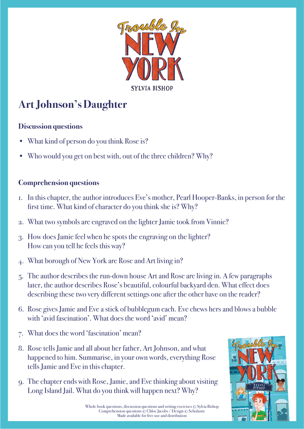

# **Art Johnson's Daughter**

#### **Discussion questions**

- What kind of person do you think Rose is?
- Who would you get on best with, out of the three children? Why?

### **Comprehension questions**

- 1. In this chapter, the author introduces Eve's mother, Pearl Hooper-Banks, in person for the first time. What kind of character do you think she is? Why?
- 2. What two symbols are engraved on the lighter Jamie took from Vinnie?
- 3. How does Jamie feel when he spots the engraving on the lighter? How can you tell he feels this way?
- 4. What borough of New York are Rose and Art living in?
- 5. The author describes the run-down house Art and Rose are living in. A few paragraphs later, the author describes Rose's beautiful, colourful backyard den. What effect does describing these two very different settings one after the other have on the reader?
- 6. Rose gives Jamie and Eve a stick of bubblegum each. Eve chews hers and blows a bubble with 'avid fascination'. What does the word 'avid' mean?
- 7. What does the word 'fascination' mean?
- 8. Rose tells Jamie and all about her father, Art Johnson, and what happened to him. Summarise, in your own words, everything Rose tells Jamie and Eve in this chapter.
- 9. The chapter ends with Rose, Jamie, and Eve thinking about visiting Long Island Jail. What do you think will happen next? Why?



Whole book questions, discussion questions and writing exercises © Sylvia Bishop Comprehension questions © Chloe Jacobs / Design © Scholastic Made available for free use and distribution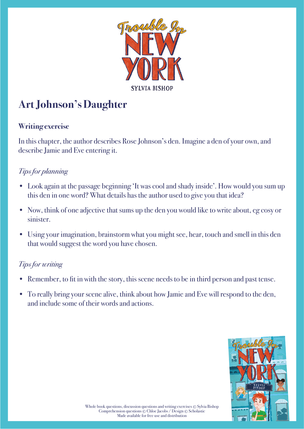

# **Art Johnson's Daughter**

#### **Writing exercise**

In this chapter, the author describes Rose Johnson's den. Imagine a den of your own, and describe Jamie and Eve entering it.

### *Tips for planning*

- Look again at the passage beginning 'It was cool and shady inside'. How would you sum up this den in one word? What details has the author used to give you that idea?
- Now, think of one adjective that sums up the den you would like to write about, eg cosy or sinister.
- Using your imagination, brainstorm what you might see, hear, touch and smell in this den that would suggest the word you have chosen.

- Remember, to fit in with the story, this scene needs to be in third person and past tense.
- To really bring your scene alive, think about how Jamie and Eve will respond to the den, and include some of their words and actions.

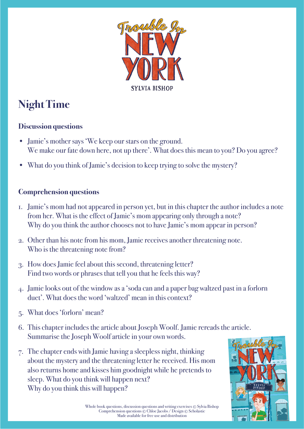

# **Night Time**

#### **Discussion questions**

- Jamie's mother says 'We keep our stars on the ground. We make our fate down here, not up there'. What does this mean to you? Do you agree?
- What do you think of Jamie's decision to keep trying to solve the mystery?

- 1. Jamie's mom had not appeared in person yet, but in this chapter the author includes a note from her. What is the effect of Jamie's mom appearing only through a note? Why do you think the author chooses not to have Jamie's mom appear in person?
- 2. Other than his note from his mom, Jamie receives another threatening note. Who is the threatening note from?
- 3. How does Jamie feel about this second, threatening letter? Find two words or phrases that tell you that he feels this way?
- 4. Jamie looks out of the window as a 'soda can and a paper bag waltzed past in a forlorn duet'. What does the word 'waltzed' mean in this context?
- 5. What does 'forlorn' mean?
- 6. This chapter includes the article about Joseph Woolf. Jamie rereads the article. Summarise the Joseph Woolf article in your own words.
- 7. The chapter ends with Jamie having a sleepless night, thinking about the mystery and the threatening letter he received. His mom also returns home and kisses him goodnight while he pretends to sleep. What do you think will happen next? Why do you think this will happen?

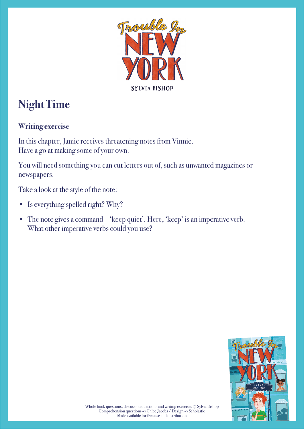

# **Night Time**

#### **Writing exercise**

In this chapter, Jamie receives threatening notes from Vinnie. Have a go at making some of your own.

You will need something you can cut letters out of, such as unwanted magazines or newspapers.

Take a look at the style of the note:

- Is everything spelled right? Why?
- The note gives a command 'keep quiet'. Here, 'keep' is an imperative verb. What other imperative verbs could you use?

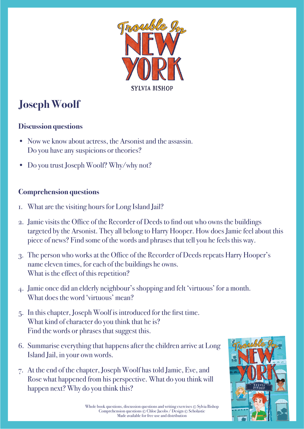

# **Joseph Woolf**

#### **Discussion questions**

- Now we know about actress, the Arsonist and the assassin. Do you have any suspicions or theories?
- Do you trust Joseph Woolf? Why/why not?

- 1. What are the visiting hours for Long Island Jail?
- 2. Jamie visits the Office of the Recorder of Deeds to find out who owns the buildings targeted by the Arsonist. They all belong to Harry Hooper. How does Jamie feel about this piece of news? Find some of the words and phrases that tell you he feels this way.
- 3. The person who works at the Office of the Recorder of Deeds repeats Harry Hooper's name eleven times, for each of the buildings he owns. What is the effect of this repetition?
- 4. Jamie once did an elderly neighbour's shopping and felt 'virtuous' for a month. What does the word 'virtuous' mean?
- 5. In this chapter, Joseph Woolf is introduced for the first time. What kind of character do you think that he is? Find the words or phrases that suggest this.
- 6. Summarise everything that happens after the children arrive at Long Island Jail, in your own words.
- 7. At the end of the chapter, Joseph Woolf has told Jamie, Eve, and Rose what happened from his perspective. What do you think will happen next? Why do you think this?

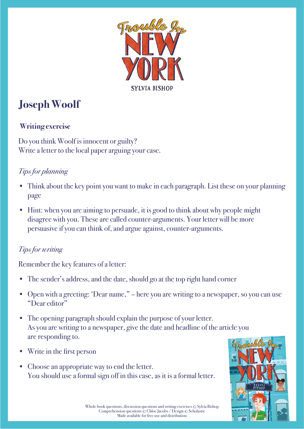

# **Joseph Woolf**

### **Writing exercise**

Do you think Woolf is innocent or guilty? Write a letter to the local paper arguing your case.

### *Tips for planning*

- Think about the key point you want to make in each paragraph. List these on your planning page
- Hint: when you are aiming to persuade, it is good to think about why people might disagree with you. These are called counter-arguments. Your letter will be more persuasive if you can think of, and argue against, counter-arguments.

#### *Tips for writing*

Remember the key features of a letter:

- The sender's address, and the date, should go at the top right hand corner
- Open with a greeting: 'Dear name," here you are writing to a newspaper, so you can use "Dear editor"
- The opening paragraph should explain the purpose of your letter. As you are writing to a newspaper, give the date and headline of the article you are responding to.
- Write in the first person
- Choose an appropriate way to end the letter. You should use a formal sign off in this case, as it is a formal letter.

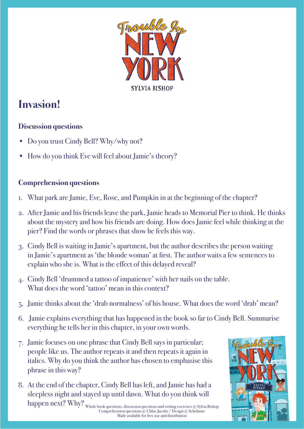

### **Invasion!**

### **Discussion questions**

- Do you trust Cindy Bell? Why/why not?
- How do you think Eve will feel about Jamie's theory?

### **Comprehension questions**

- 1. What park are Jamie, Eve, Rose, and Pumpkin in at the beginning of the chapter?
- 2. After Jamie and his friends leave the park, Jamie heads to Memorial Pier to think. He thinks about the mystery and how his friends are doing. How does Jamie feel while thinking at the pier? Find the words or phrases that show he feels this way.
- 3. Cindy Bell is waiting in Jamie's apartment, but the author describes the person waiting in Jamie's apartment as 'the blonde woman' at first. The author waits a few sentences to explain who she is. What is the effect of this delayed reveal?
- 4. Cindy Bell 'drummed a tattoo of impatience' with her nails on the table. What does the word 'tattoo' mean in this context?
- 5. Jamie thinks about the 'drab normalness' of his house. What does the word 'drab' mean?
- 6. Jamie explains everything that has happened in the book so far to Cindy Bell. Summarise everything he tells her in this chapter, in your own words.
- 7. Jamie focuses on one phrase that Cindy Bell says in particular; people like us. The author repeats it and then repeats it again in italics. Why do you think the author has chosen to emphasise this phrase in this way?
- 8. At the end of the chapter, Cindy Bell has left, and Jamie has had a sleepless night and stayed up until dawn. What do you think will happen next? Why?

Whole book questions, discussion questions and writing exercises © Sylvia Bishop Comprehension questions © Chloe Jacobs / Design © Scholastic Made available for free use and distribution

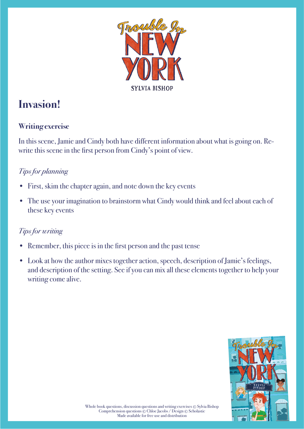

### **Invasion!**

### **Writing exercise**

In this scene, Jamie and Cindy both have different information about what is going on. Rewrite this scene in the first person from Cindy's point of view.

### *Tips for planning*

- First, skim the chapter again, and note down the key events
- The use your imagination to brainstorm what Cindy would think and feel about each of these key events

- Remember, this piece is in the first person and the past tense
- Look at how the author mixes together action, speech, description of Jamie's feelings, and description of the setting. See if you can mix all these elements together to help your writing come alive.

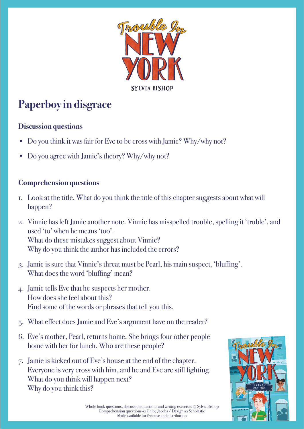

# **Paperboy in disgrace**

#### **Discussion questions**

- Do you think it was fair for Eve to be cross with Jamie? Why/why not?
- Do you agree with Jamie's theory? Why/why not?

- 1. Look at the title. What do you think the title of this chapter suggests about what will happen?
- 2. Vinnie has left Jamie another note. Vinnie has misspelled trouble, spelling it 'truble', and used 'to' when he means 'too'. What do these mistakes suggest about Vinnie? Why do you think the author has included the errors?
- 3. Jamie is sure that Vinnie's threat must be Pearl, his main suspect, 'bluffing'. What does the word 'bluffing' mean?
- 4. Jamie tells Eve that he suspects her mother. How does she feel about this? Find some of the words or phrases that tell you this.
- 5. What effect does Jamie and Eve's argument have on the reader?
- 6. Eve's mother, Pearl, returns home. She brings four other people home with her for lunch. Who are these people?
- 7. Jamie is kicked out of Eve's house at the end of the chapter. Everyone is very cross with him, and he and Eve are still fighting. What do you think will happen next? Why do you think this?

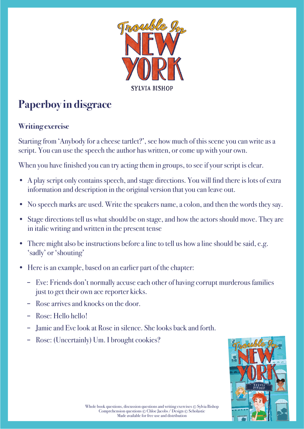

# **Paperboy in disgrace**

#### **Writing exercise**

Starting from 'Anybody for a cheese tartlet?', see how much of this scene you can write as a script. You can use the speech the author has written, or come up with your own.

When you have finished you can try acting them in groups, to see if your script is clear.

- A play script only contains speech, and stage directions. You will find there is lots of extra information and description in the original version that you can leave out.
- No speech marks are used. Write the speakers name, a colon, and then the words they say.
- Stage directions tell us what should be on stage, and how the actors should move. They are in italic writing and written in the present tense
- There might also be instructions before a line to tell us how a line should be said, e.g. 'sadly' or 'shouting'
- Here is an example, based on an earlier part of the chapter:
	- − Eve: Friends don't normally accuse each other of having corrupt murderous families just to get their own ace reporter kicks.
	- − Rose arrives and knocks on the door.
	- − Rose: Hello hello!
	- − Jamie and Eve look at Rose in silence. She looks back and forth.
	- − Rose: (Uncertainly) Um. I brought cookies?

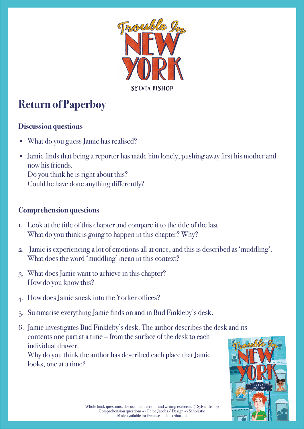

# **Return of Paperboy**

#### **Discussion questions**

- What do you guess Jamie has realised?
- Jamie finds that being a reporter has made him lonely, pushing away first his mother and now his friends. Do you think he is right about this? Could he have done anything differently?

- 1. Look at the title of this chapter and compare it to the title of the last. What do you think is going to happen in this chapter? Why?
- 2. Jamie is experiencing a lot of emotions all at once, and this is described as 'muddling'. What does the word 'muddling' mean in this context?
- 3. What does Jamie want to achieve in this chapter? How do you know this?
- 4. How does Jamie sneak into the Yorker offices?
- 5. Summarise everything Jamie finds on and in Bud Finkleby's desk.
- 6. Jamie investigates Bud Finkleby's desk. The author describes the desk and its contents one part at a time – from the surface of the desk to each individual drawer. Why do you think the author has described each place that Jamie looks, one at a time?

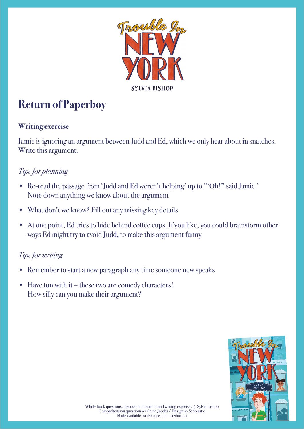

# **Return of Paperboy**

#### **Writing exercise**

Jamie is ignoring an argument between Judd and Ed, which we only hear about in snatches. Write this argument.

### *Tips for planning*

- Re-read the passage from 'Judd and Ed weren't helping' up to '"Oh!" said Jamie.' Note down anything we know about the argument
- What don't we know? Fill out any missing key details
- At one point, Ed tries to hide behind coffee cups. If you like, you could brainstorm other ways Ed might try to avoid Judd, to make this argument funny

- Remember to start a new paragraph any time someone new speaks
- Have fun with it these two are comedy characters! How silly can you make their argument?

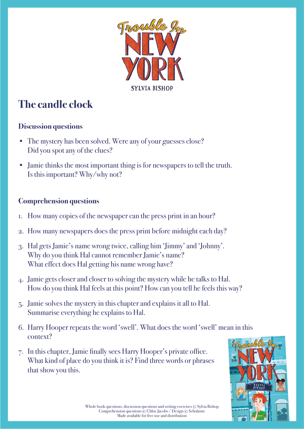

# **The candle clock**

#### **Discussion questions**

- The mystery has been solved. Were any of your guesses close? Did you spot any of the clues?
- Jamie thinks the most important thing is for newspapers to tell the truth. Is this important? Why/why not?

- 1. How many copies of the newspaper can the press print in an hour?
- 2. How many newspapers does the press print before midnight each day?
- 3. Hal gets Jamie's name wrong twice, calling him 'Jimmy' and 'Johnny'. Why do you think Hal cannot remember Jamie's name? What effect does Hal getting his name wrong have?
- 4. Jamie gets closer and closer to solving the mystery while he talks to Hal. How do you think Hal feels at this point? How can you tell he feels this way?
- 5. Jamie solves the mystery in this chapter and explains it all to Hal. Summarise everything he explains to Hal.
- 6. Harry Hooper repeats the word 'swell'. What does the word 'swell' mean in this context?
- 7. In this chapter, Jamie finally sees Harry Hooper's private office. What kind of place do you think it is? Find three words or phrases that show you this.

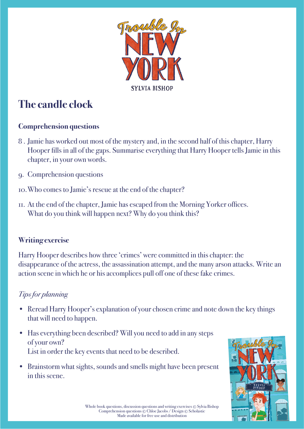

# **The candle clock**

#### **Comprehension questions**

- 8 . Jamie has worked out most of the mystery and, in the second half of this chapter, Harry Hooper fills in all of the gaps. Summarise everything that Harry Hooper tells Jamie in this chapter, in your own words.
- 9. Comprehension questions
- 10. Who comes to Jamie's rescue at the end of the chapter?
- 11. At the end of the chapter, Jamie has escaped from the Morning Yorker offices. What do you think will happen next? Why do you think this?

#### **Writing exercise**

Harry Hooper describes how three 'crimes' were committed in this chapter: the disappearance of the actress, the assassination attempt, and the many arson attacks. Write an action scene in which he or his accomplices pull off one of these fake crimes.

### *Tips for planning*

- Reread Harry Hooper's explanation of your chosen crime and note down the key things that will need to happen.
- Has everything been described? Will you need to add in any steps of your own? List in order the key events that need to be described.
- Brainstorm what sights, sounds and smells might have been present in this scene.

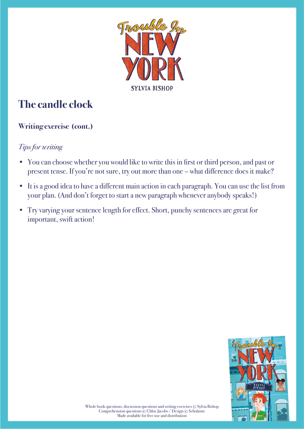

# **The candle clock**

### **Writing exercise (cont.)**

- You can choose whether you would like to write this in first or third person, and past or present tense. If you're not sure, try out more than one – what difference does it make?
- It is a good idea to have a different main action in each paragraph. You can use the list from your plan. (And don't forget to start a new paragraph whenever anybody speaks!)
- Try varying your sentence length for effect. Short, punchy sentences are great for important, swift action!

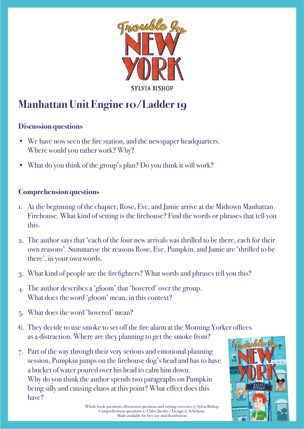

### **Manhattan Unit Engine 10/Ladder 19**

#### **Discussion questions**

- We have now seen the fire station, and the newspaper headquarters. Where would you rather work? Why?
- What do you think of the group's plan? Do you think it will work?

- 1. At the beginning of the chapter, Rose, Eve, and Jamie arrive at the Midtown Manhattan Firehouse. What kind of setting is the firehouse? Find the words or phrases that tell you this.
- 2. The author says that 'each of the four new arrivals was thrilled to be there, each for their own reasons'. Summarise the reasons Rose, Eve, Pumpkin, and Jamie are 'thrilled to be there', in your own words.
- 3. What kind of people are the firefighters? What words and phrases tell you this?
- 4. The author describes a 'gloom' that 'hovered' over the group. What does the word 'gloom' mean, in this context?
- 5. What does the word 'hovered' mean?
- 6. They decide to use smoke to set off the fire alarm at the Morning Yorker offices as a distraction. Where are they planning to get the smoke from?
- 7. Part of the way through their very serious and emotional planning session, Pumpkin jumps on the firehouse dog's head and has to have a bucket of water poured over his head to calm him down. Why do you think the author spends two paragraphs on Pumpkin being silly and causing chaos at this point? What effect does this have?

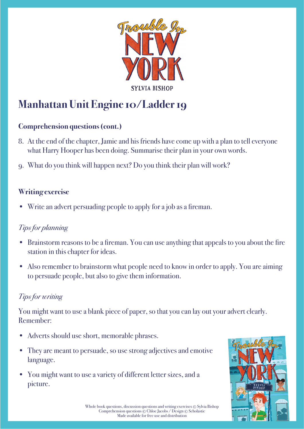

### **Manhattan Unit Engine 10/Ladder 19**

#### **Comprehension questions (cont.)**

- 8. At the end of the chapter, Jamie and his friends have come up with a plan to tell everyone what Harry Hooper has been doing. Summarise their plan in your own words.
- 9. What do you think will happen next? Do you think their plan will work?

#### **Writing exercise**

Write an advert persuading people to apply for a job as a fireman.

#### *Tips for planning*

- Brainstorm reasons to be a fireman. You can use anything that appeals to you about the fire station in this chapter for ideas.
- Also remember to brainstorm what people need to know in order to apply. You are aiming to persuade people, but also to give them information.

#### *Tips for writing*

You might want to use a blank piece of paper, so that you can lay out your advert clearly. Remember:

- Adverts should use short, memorable phrases.
- They are meant to persuade, so use strong adjectives and emotive language.
- You might want to use a variety of different letter sizes, and a picture.

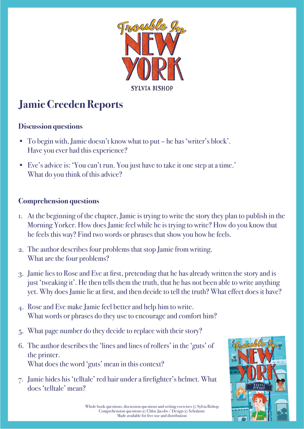

# **Jamie Creeden Reports**

#### **Discussion questions**

- To begin with, Jamie doesn't know what to put he has 'writer's block'. Have you ever had this experience?
- Eve's advice is: 'You can't run. You just have to take it one step at a time.' What do you think of this advice?

- 1. At the beginning of the chapter, Jamie is trying to write the story they plan to publish in the Morning Yorker. How does Jamie feel while he is trying to write? How do you know that he feels this way? Find two words or phrases that show you how he feels.
- 2. The author describes four problems that stop Jamie from writing. What are the four problems?
- 3. Jamie lies to Rose and Eve at first, pretending that he has already written the story and is just 'tweaking it'. He then tells them the truth, that he has not been able to write anything yet. Why does Jamie lie at first, and then decide to tell the truth? What effect does it have?
- 4. Rose and Eve make Jamie feel better and help him to write. What words or phrases do they use to encourage and comfort him?
- 5. What page number do they decide to replace with their story?
- 6. The author describes the 'lines and lines of rollers' in the 'guts' of the printer. What does the word 'guts' mean in this context?
- 7. Jamie hides his 'telltale' red hair under a firefighter's helmet. What does 'telltale' mean?

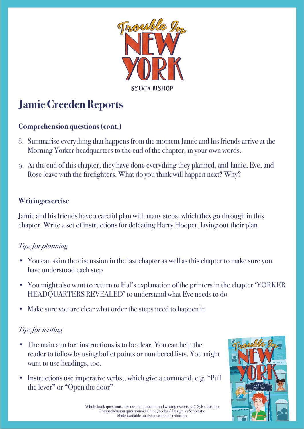

# **Jamie Creeden Reports**

#### **Comprehension questions (cont.)**

- 8. Summarise everything that happens from the moment Jamie and his friends arrive at the Morning Yorker headquarters to the end of the chapter, in your own words.
- 9. At the end of this chapter, they have done everything they planned, and Jamie, Eve, and Rose leave with the firefighters. What do you think will happen next? Why?

#### **Writing exercise**

Jamie and his friends have a careful plan with many steps, which they go through in this chapter. Write a set of instructions for defeating Harry Hooper, laying out their plan.

#### *Tips for planning*

- You can skim the discussion in the last chapter as well as this chapter to make sure you have understood each step
- You might also want to return to Hal's explanation of the printers in the chapter 'YORKER HEADQUARTERS REVEALED' to understand what Eve needs to do
- Make sure you are clear what order the steps need to happen in

- The main aim fort instructions is to be clear. You can help the reader to follow by using bullet points or numbered lists. You might want to use headings, too.
- Instructions use imperative verbs,, which give a command, e.g. "Pull" the lever" or "Open the door"

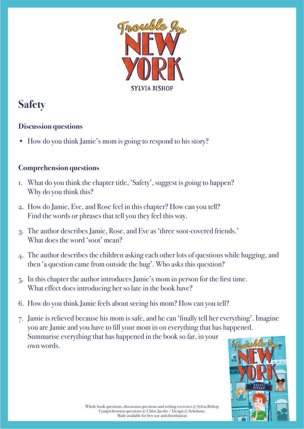

## **Safety**

### **Discussion questions**

• How do you think Jamie's mom is going to respond to his story?

- 1. What do you think the chapter title, 'Safety', suggest is going to happen? Why do you think this?
- 2. How do Jamie, Eve, and Rose feel in this chapter? How can you tell? Find the words or phrases that tell you they feel this way.
- 3. The author describes Jamie, Rose, and Eve as 'three soot-covered friends.' What does the word 'soot' mean?
- 4. The author describes the children asking each other lots of questions while hugging, and then 'a question came from outside the hug'. Who asks this question?
- 5. In this chapter the author introduces Jamie's mom in person for the first time. What effect does introducing her so late in the book have?
- 6. How do you think Jamie feels about seeing his mom? How can you tell?
- 7. Jamie is relieved because his mom is safe, and he can 'finally tell her everything'. Imagine you are Jamie and you have to fill your mom in on everything that has happened. Summarise everything that has happened in the book so far, in your own words.

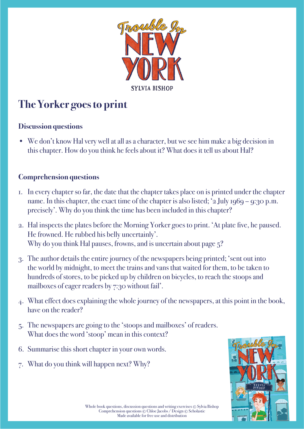

# **The Yorker goes to print**

#### **Discussion questions**

• We don't know Hal very well at all as a character, but we see him make a big decision in this chapter. How do you think he feels about it? What does it tell us about Hal?

- 1. In every chapter so far, the date that the chapter takes place on is printed under the chapter name. In this chapter, the exact time of the chapter is also listed; '2 July 1969 – 9:30 p.m. precisely'. Why do you think the time has been included in this chapter?
- 2. Hal inspects the plates before the Morning Yorker goes to print. 'At plate five, he paused. He frowned. He rubbed his belly uncertainly'. Why do you think Hal pauses, frowns, and is uncertain about page  $5$ ?
- 3. The author details the entire journey of the newspapers being printed; 'sent out into the world by midnight, to meet the trains and vans that waited for them, to be taken to hundreds of stores, to be picked up by children on bicycles, to reach the stoops and mailboxes of eager readers by 7:30 without fail'.
- 4. What effect does explaining the whole journey of the newspapers, at this point in the book, have on the reader?
- 5. The newspapers are going to the 'stoops and mailboxes' of readers. What does the word 'stoop' mean in this context?
- 6. Summarise this short chapter in your own words.
- 7. What do you think will happen next? Why?

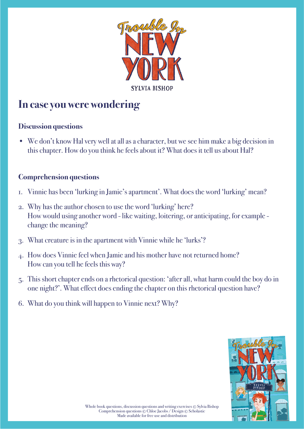

### **In case you were wondering**

#### **Discussion questions**

• We don't know Hal very well at all as a character, but we see him make a big decision in this chapter. How do you think he feels about it? What does it tell us about Hal?

- 1. Vinnie has been 'lurking in Jamie's apartment'. What does the word 'lurking' mean?
- 2. Why has the author chosen to use the word 'lurking' here? How would using another word - like waiting, loitering, or anticipating, for example change the meaning?
- 3. What creature is in the apartment with Vinnie while he 'lurks'?
- 4. How does Vinnie feel when Jamie and his mother have not returned home? How can you tell he feels this way?
- 5. This short chapter ends on a rhetorical question: 'after all, what harm could the boy do in one night?'. What effect does ending the chapter on this rhetorical question have?
- 6. What do you think will happen to Vinnie next? Why?

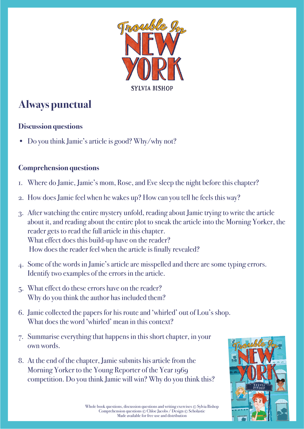

## **Always punctual**

#### **Discussion questions**

• Do you think Jamie's article is good? Why/why not?

- 1. Where do Jamie, Jamie's mom, Rose, and Eve sleep the night before this chapter?
- 2. How does Jamie feel when he wakes up? How can you tell he feels this way?
- 3. After watching the entire mystery unfold, reading about Jamie trying to write the article about it, and reading about the entire plot to sneak the article into the Morning Yorker, the reader gets to read the full article in this chapter. What effect does this build-up have on the reader? How does the reader feel when the article is finally revealed?
- 4. Some of the words in Jamie's article are misspelled and there are some typing errors. Identify two examples of the errors in the article.
- 5. What effect do these errors have on the reader? Why do you think the author has included them?
- 6. Jamie collected the papers for his route and 'whirled' out of Lou's shop. What does the word 'whirled' mean in this context?
- 7. Summarise everything that happens in this short chapter, in your own words.
- 8. At the end of the chapter, Jamie submits his article from the Morning Yorker to the Young Reporter of the Year 1969 competition. Do you think Jamie will win? Why do you think this?

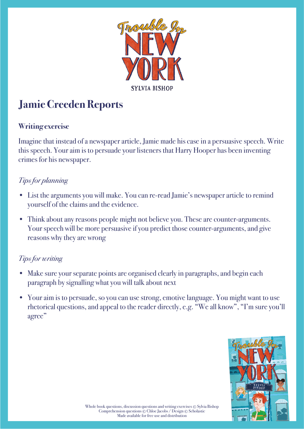

# **Jamie Creeden Reports**

#### **Writing exercise**

Imagine that instead of a newspaper article, Jamie made his case in a persuasive speech. Write this speech. Your aim is to persuade your listeners that Harry Hooper has been inventing crimes for his newspaper.

#### *Tips for planning*

- List the arguments you will make. You can re-read Jamie's newspaper article to remind yourself of the claims and the evidence.
- Think about any reasons people might not believe you. These are counter-arguments. Your speech will be more persuasive if you predict those counter-arguments, and give reasons why they are wrong

- Make sure your separate points are organised clearly in paragraphs, and begin each paragraph by signalling what you will talk about next
- Your aim is to persuade, so you can use strong, emotive language. You might want to use rhetorical questions, and appeal to the reader directly, e.g. "We all know", "I'm sure you'll agree"

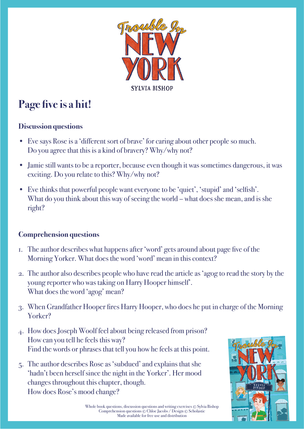

# Page five is a hit!

#### **Discussion questions**

- Eve says Rose is a 'different sort of brave' for caring about other people so much. Do you agree that this is a kind of bravery? Why/why not?
- Jamie still wants to be a reporter, because even though it was sometimes dangerous, it was exciting. Do you relate to this? Why/why not?
- Eve thinks that powerful people want everyone to be 'quiet', 'stupid' and 'selfish'. What do you think about this way of seeing the world – what does she mean, and is she right?

- 1. The author describes what happens after 'word' gets around about page five of the Morning Yorker. What does the word 'word' mean in this context?
- 2. The author also describes people who have read the article as 'agog to read the story by the young reporter who was taking on Harry Hooper himself'. What does the word 'agog' mean?
- 3. When Grandfather Hooper fires Harry Hooper, who does he put in charge of the Morning Yorker?
- 4. How does Joseph Woolf feel about being released from prison? How can you tell he feels this way? Find the words or phrases that tell you how he feels at this point.
- 5. The author describes Rose as 'subdued' and explains that she 'hadn't been herself since the night in the Yorker'. Her mood changes throughout this chapter, though. How does Rose's mood change?

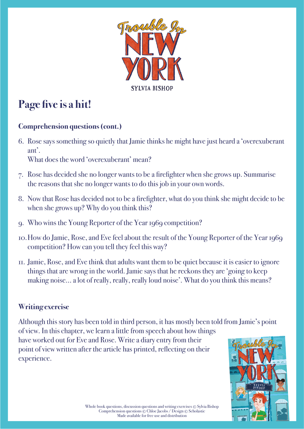

# Page five is a hit!

### **Comprehension questions (cont.)**

6. Rose says something so quietly that Jamie thinks he might have just heard a 'overexuberant ant'.

What does the word 'overexuberant' mean?

- 7. Rose has decided she no longer wants to be a firefighter when she grows up. Summarise the reasons that she no longer wants to do this job in your own words.
- 8. Now that Rose has decided not to be a firefighter, what do you think she might decide to be when she grows up? Why do you think this?
- 9. Who wins the Young Reporter of the Year 1969 competition?
- 10. How do Jamie, Rose, and Eve feel about the result of the Young Reporter of the Year 1969 competition? How can you tell they feel this way?
- 11. Jamie, Rose, and Eve think that adults want them to be quiet because it is easier to ignore things that are wrong in the world. Jamie says that he reckons they are 'going to keep making noise… a lot of really, really, really loud noise'. What do you think this means?

#### **Writing exercise**

Although this story has been told in third person, it has mostly been told from Jamie's point of view. In this chapter, we learn a little from speech about how things have worked out for Eve and Rose. Write a diary entry from their point of view written after the article has printed, reflecting on their experience.

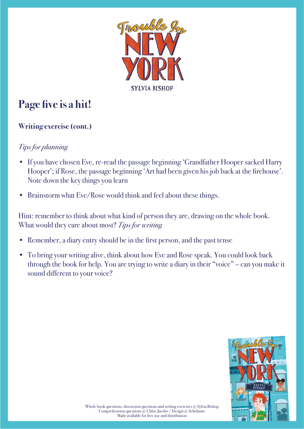

# Page five is a hit!

### **Writing exercise (cont.)**

#### *Tips for planning*

- If you have chosen Eve, re-read the passage beginning 'Grandfather Hooper sacked Harry Hooper'; if Rose, the passage beginning 'Art had been given his job back at the firehouse'. Note down the key things you learn
- Brainstorm what Eve/Rose would think and feel about these things.

Hint: remember to think about what kind of person they are, drawing on the whole book. What would they care about most? *Tips for writing*

- Remember, a diary entry should be in the first person, and the past tense
- To bring your writing alive, think about how Eve and Rose speak. You could look back through the book for help. You are trying to write a diary in their "voice" – can you make it sound different to your voice?